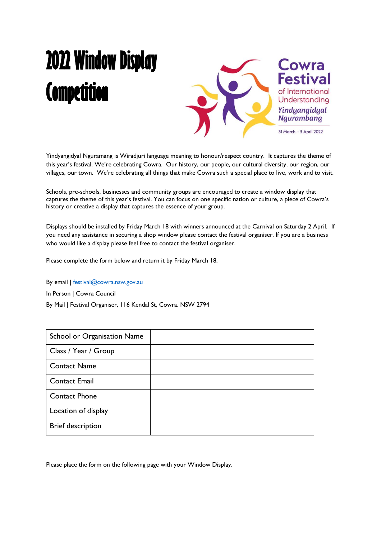## **2022 Window Display Competition**



Yindyangidyal Nguramang is Wiradjuri language meaning to honour/respect country. It captures the theme of this year's festival. We're celebrating Cowra. Our history, our people, our cultural diversity, our region, our villages, our town. We're celebrating all things that make Cowra such a special place to live, work and to visit.

Schools, pre-schools, businesses and community groups are encouraged to create a window display that captures the theme of this year's festival. You can focus on one specific nation or culture, a piece of Cowra's history or creative a display that captures the essence of your group.

Displays should be installed by Friday March 18 with winners announced at the Carnival on Saturday 2 April. If you need any assistance in securing a shop window please contact the festival organiser. If you are a business who would like a display please feel free to contact the festival organiser.

Please complete the form below and return it by Friday March 18.

By email | [festival@cowra.nsw.gov.au](mailto:festival@cowra.nsw.gov.au) In Person | Cowra Council By Mail | Festival Organiser, 116 Kendal St, Cowra. NSW 2794

| School or Organisation Name |  |
|-----------------------------|--|
| Class / Year / Group        |  |
| <b>Contact Name</b>         |  |
| <b>Contact Email</b>        |  |
| <b>Contact Phone</b>        |  |
| Location of display         |  |
| <b>Brief description</b>    |  |

Please place the form on the following page with your Window Display.